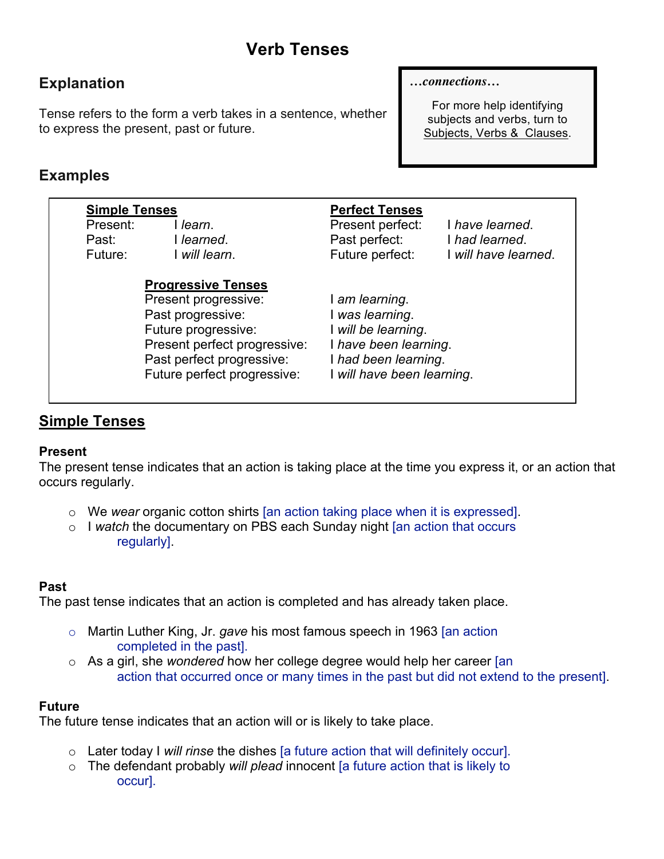# **Verb Tenses**

# **Explanation**

Tense refers to the form a verb takes in a sentence, whether to express the present, past or future.

#### *…connections…*

For more help identifying subjects and verbs, turn to Subjects, Verbs & Clauses.

# **Examples**

| <b>Simple Tenses</b>         |                                                          | <b>Perfect Tenses</b>                                |                                                           |
|------------------------------|----------------------------------------------------------|------------------------------------------------------|-----------------------------------------------------------|
| Present:<br>Past:<br>Future: | l learn.<br>l learned.<br>will learn.                    | Present perfect:<br>Past perfect:<br>Future perfect: | I have learned.<br>I had learned.<br>I will have learned. |
|                              | <b>Progressive Tenses</b>                                |                                                      |                                                           |
|                              | Present progressive:                                     | I am learning.                                       |                                                           |
|                              | Past progressive:                                        | was learning.                                        |                                                           |
|                              | Future progressive:                                      | will be learning.                                    |                                                           |
| Present perfect progressive: |                                                          | I have been learning.                                |                                                           |
|                              | Past perfect progressive:<br>Future perfect progressive: | I had been learning.<br>will have been learning.     |                                                           |

## **Simple Tenses**

#### **Present**

The present tense indicates that an action is taking place at the time you express it, or an action that occurs regularly.

- o We *wear* organic cotton shirts [an action taking place when it is expressed].
- o I *watch* the documentary on PBS each Sunday night [an action that occurs regularly].

#### **Past**

The past tense indicates that an action is completed and has already taken place.

- o Martin Luther King, Jr. *gave* his most famous speech in 1963 [an action completed in the past].
- o As a girl, she *wondered* how her college degree would help her career [an action that occurred once or many times in the past but did not extend to the present].

#### **Future**

The future tense indicates that an action will or is likely to take place.

- o Later today I *will rinse* the dishes [a future action that will definitely occur].
- o The defendant probably *will plead* innocent [a future action that is likely to occur].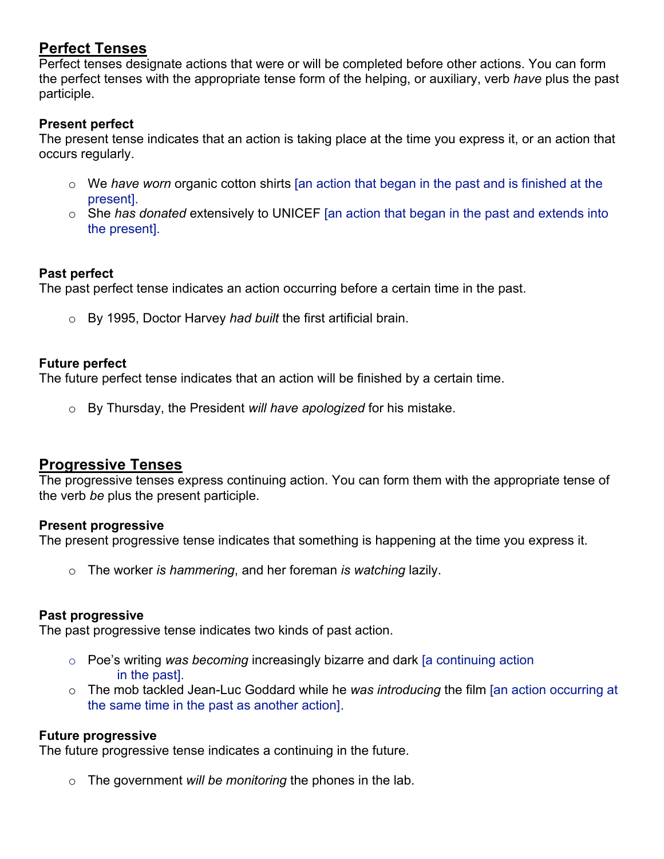# **Perfect Tenses**

Perfect tenses designate actions that were or will be completed before other actions. You can form the perfect tenses with the appropriate tense form of the helping, or auxiliary, verb *have* plus the past participle.

#### **Present perfect**

The present tense indicates that an action is taking place at the time you express it, or an action that occurs regularly.

- o We *have worn* organic cotton shirts [an action that began in the past and is finished at the present].
- o She *has donated* extensively to UNICEF [an action that began in the past and extends into the present].

#### **Past perfect**

The past perfect tense indicates an action occurring before a certain time in the past.

o By 1995, Doctor Harvey *had built* the first artificial brain.

#### **Future perfect**

The future perfect tense indicates that an action will be finished by a certain time.

o By Thursday, the President *will have apologized* for his mistake.

#### **Progressive Tenses**

The progressive tenses express continuing action. You can form them with the appropriate tense of the verb *be* plus the present participle.

#### **Present progressive**

The present progressive tense indicates that something is happening at the time you express it.

o The worker *is hammering*, and her foreman *is watching* lazily.

#### **Past progressive**

The past progressive tense indicates two kinds of past action.

- o Poe's writing *was becoming* increasingly bizarre and dark [a continuing action in the past].
- o The mob tackled Jean-Luc Goddard while he *was introducing* the film [an action occurring at the same time in the past as another action].

#### **Future progressive**

The future progressive tense indicates a continuing in the future.

o The government *will be monitoring* the phones in the lab.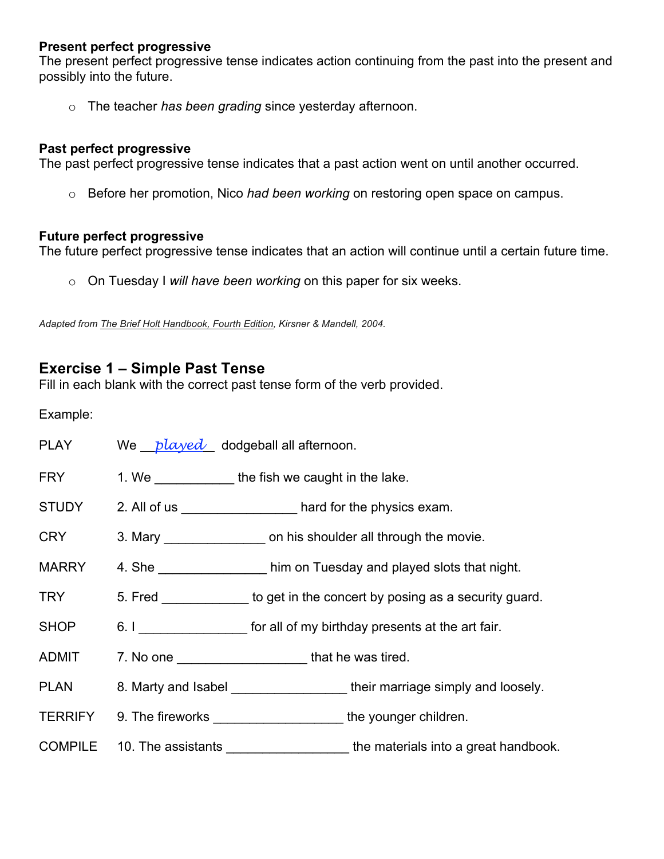#### **Present perfect progressive**

The present perfect progressive tense indicates action continuing from the past into the present and possibly into the future.

o The teacher *has been grading* since yesterday afternoon.

#### **Past perfect progressive**

The past perfect progressive tense indicates that a past action went on until another occurred.

o Before her promotion, Nico *had been working* on restoring open space on campus.

#### **Future perfect progressive**

The future perfect progressive tense indicates that an action will continue until a certain future time.

o On Tuesday I *will have been working* on this paper for six weeks.

*Adapted from The Brief Holt Handbook, Fourth Edition, Kirsner & Mandell, 2004.*

## **Exercise 1 – Simple Past Tense**

Fill in each blank with the correct past tense form of the verb provided.

Example:

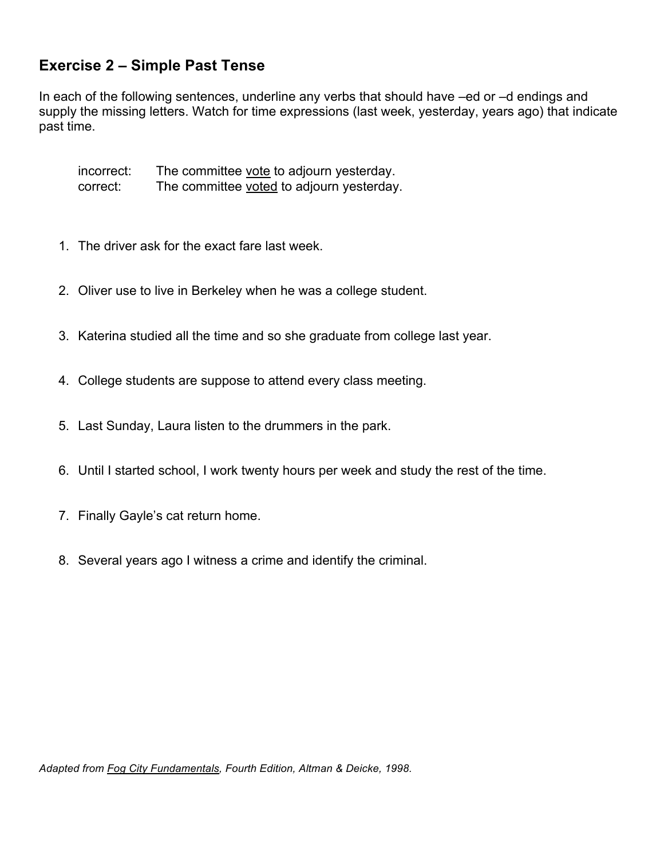# **Exercise 2 – Simple Past Tense**

In each of the following sentences, underline any verbs that should have –ed or –d endings and supply the missing letters. Watch for time expressions (last week, yesterday, years ago) that indicate past time.

incorrect: The committee vote to adjourn yesterday. correct: The committee voted to adjourn yesterday.

- 1. The driver ask for the exact fare last week.
- 2. Oliver use to live in Berkeley when he was a college student.
- 3. Katerina studied all the time and so she graduate from college last year.
- 4. College students are suppose to attend every class meeting.
- 5. Last Sunday, Laura listen to the drummers in the park.
- 6. Until I started school, I work twenty hours per week and study the rest of the time.
- 7. Finally Gayle's cat return home.
- 8. Several years ago I witness a crime and identify the criminal.

*Adapted from Fog City Fundamentals, Fourth Edition, Altman & Deicke, 1998.*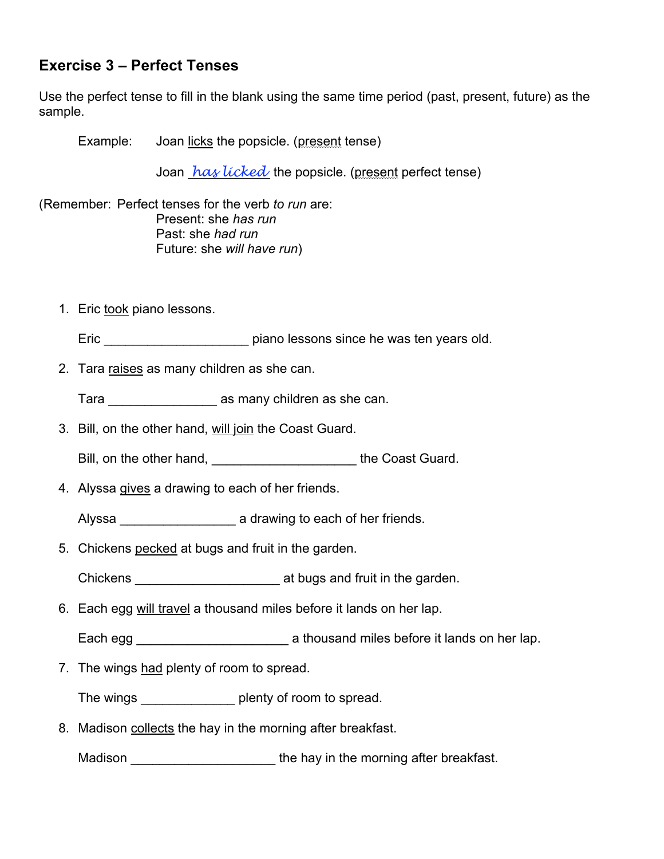# **Exercise 3 – Perfect Tenses**

Use the perfect tense to fill in the blank using the same time period (past, present, future) as the sample.

Example: Joan licks the popsicle. (present tense)

Joan *has licked* the popsicle. (present perfect tense)

(Remember: Perfect tenses for the verb *to run* are: Present: she *has run* Past: she *had run* Future: she *will have run*)

1. Eric took piano lessons.

Eric **Eric** error and **Example 2018** piano lessons since he was ten years old.

2. Tara raises as many children as she can.

Tara \_\_\_\_\_\_\_\_\_\_\_\_\_\_\_ as many children as she can.

- 3. Bill, on the other hand, will join the Coast Guard.
	- Bill, on the other hand, example 20 and the Coast Guard.
- 4. Alyssa gives a drawing to each of her friends.

Alyssa **a** drawing to each of her friends.

- 5. Chickens pecked at bugs and fruit in the garden.
	- Chickens **Chickens Example 2** at bugs and fruit in the garden.
- 6. Each egg will travel a thousand miles before it lands on her lap.
	- Each egg \_\_\_\_\_\_\_\_\_\_\_\_\_\_\_\_\_\_\_\_\_ a thousand miles before it lands on her lap.
- 7. The wings had plenty of room to spread.

The wings \_\_\_\_\_\_\_\_\_\_\_\_\_ plenty of room to spread.

8. Madison collects the hay in the morning after breakfast.

Madison **Madison Madison** the hay in the morning after breakfast.